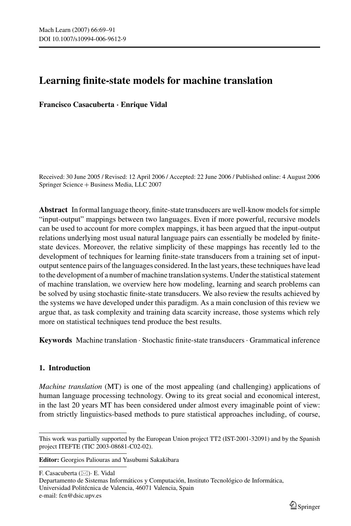# **Learning finite-state models for machine translation**

**Francisco Casacuberta** *·* **Enrique Vidal**

Received: 30 June 2005 / Revised: 12 April 2006 / Accepted: 22 June 2006 / Published online: 4 August 2006 Springer Science + Business Media, LLC 2007

**Abstract** In formal language theory, finite-state transducers are well-know models for simple "input-output" mappings between two languages. Even if more powerful, recursive models can be used to account for more complex mappings, it has been argued that the input-output relations underlying most usual natural language pairs can essentially be modeled by finitestate devices. Moreover, the relative simplicity of these mappings has recently led to the development of techniques for learning finite-state transducers from a training set of inputoutput sentence pairs of the languages considered. In the last years, these techniques have lead to the development of a number of machine translation systems. Under the statistical statement of machine translation, we overview here how modeling, learning and search problems can be solved by using stochastic finite-state transducers. We also review the results achieved by the systems we have developed under this paradigm. As a main conclusion of this review we argue that, as task complexity and training data scarcity increase, those systems which rely more on statistical techniques tend produce the best results.

**Keywords** Machine translation . Stochastic finite-state transducers . Grammatical inference

# **1. Introduction**

*Machine translation* (MT) is one of the most appealing (and challenging) applications of human language processing technology. Owing to its great social and economical interest, in the last 20 years MT has been considered under almost every imaginable point of view: from strictly linguistics-based methods to pure statistical approaches including, of course,

This work was partially supported by the European Union project TT2 (IST-2001-32091) and by the Spanish project ITEFTE (TIC 2003-08681-C02-02).

**Editor:** Georgios Paliouras and Yasubumi Sakakibara

F. Casacuberta (⊠)∙ E. Vidal

Departamento de Sistemas Informáticos y Computación, Instituto Tecnológico de Informática, Universidad Politécnica de Valencia, 46071 Valencia, Spain e-mail: fcn@dsic.upv.es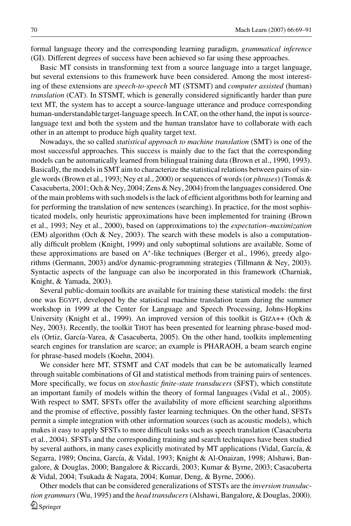formal language theory and the corresponding learning paradigm, *grammatical inference* (GI). Different degrees of success have been achieved so far using these approaches.

Basic MT consists in transforming text from a source language into a target language, but several extensions to this framework have been considered. Among the most interesting of these extensions are *speech-to-speech* MT (STSMT) and *computer assisted* (human) *translation* (CAT). In STSMT, which is generally considered significantly harder than pure text MT, the system has to accept a source-language utterance and produce corresponding human-understandable target-language speech. In CAT, on the other hand, the input is sourcelanguage text and both the system and the human translator have to collaborate with each other in an attempt to produce high quality target text.

Nowadays, the so called *statistical approach to machine translation* (SMT) is one of the most successful approaches. This success is mainly due to the fact that the corresponding models can be automatically learned from bilingual training data (Brown et al., 1990, 1993). Basically, the models in SMT aim to characterize the statistical relations between pairs of single words (Brown et al., 1993; Ney et al., 2000) or sequences of words (or *phrases*) (Tom´as & Casacuberta, 2001; Och & Ney, 2004; Zens & Ney, 2004) from the languages considered. One of the main problems with such models is the lack of efficient algorithms both for learning and for performing the translation of new sentences (searching). In practice, for the most sophisticated models, only heuristic approximations have been implemented for training (Brown et al., 1993; Ney et al., 2000), based on (approximations to) the *expectation–maximization* (EM) algorithm (Och & Ney, 2003). The search with these models is also a computationally difficult problem (Knight, 1999) and only suboptimal solutions are available. Some of these approximations are based on A∗-like techniques (Berger et al., 1996), greedy algorithms (Germann, 2003) and/or dynamic-programming strategies (Tillmann & Ney, 2003). Syntactic aspects of the language can also be incorporated in this framework (Charniak, Knight, & Yamada, 2003).

Several public-domain toolkits are available for training these statistical models: the first one was EGYPT, developed by the statistical machine translation team during the summer workshop in 1999 at the Center for Language and Speech Processing, Johns-Hopkins University (Knight et al., 1999). An improved version of this toolkit is GIZA++ (Och & Ney, 2003). Recently, the toolkit THOT has been presented for learning phrase-based models (Ortiz, García-Varea, & Casacuberta, 2005). On the other hand, toolkits implementing search engines for translation are scarce; an example is PHARAOH, a beam search engine for phrase-based models (Koehn, 2004).

We consider here MT, STSMT and CAT models that can be be automatically learned through suitable combinations of GI and statistical methods from training pairs of sentences. More specifically, we focus on *stochastic finite-state transducers* (SFST), which constitute an important family of models within the theory of formal languages (Vidal et al., 2005). With respect to SMT, SFSTs offer the availability of more efficient searching algorithms and the promise of effective, possibly faster learning techniques. On the other hand, SFSTs permit a simple integration with other information sources (such as acoustic models), which makes it easy to apply SFSTs to more difficult tasks such as speech translation (Casacuberta et al., 2004). SFSTs and the corresponding training and search techniques have been studied by several authors, in many cases explicitly motivated by MT applications (Vidal, García,  $\&$ Segarra, 1989; Oncina, García, & Vidal, 1993; Knight & Al-Onaizan, 1998; Alshawi, Bangalore, & Douglas, 2000; Bangalore & Riccardi, 2003; Kumar & Byrne, 2003; Casacuberta & Vidal, 2004; Tsukada & Nagata, 2004; Kumar, Deng, & Byrne, 2006).

Other models that can be considered generalizations of STSTs are the *inversion transduction grammars*(Wu, 1995) and the *head transducers*(Alshawi, Bangalore, & Douglas, 2000).  $\bigcirc$  Springer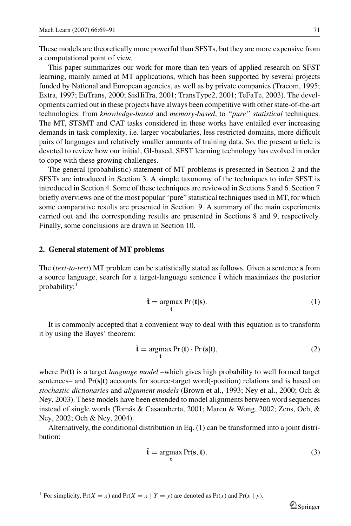These models are theoretically more powerful than SFSTs, but they are more expensive from a computational point of view.

This paper summarizes our work for more than ten years of applied research on SFST learning, mainly aimed at MT applications, which has been supported by several projects funded by National and European agencies, as well as by private companies (Tracom, 1995; Extra, 1997; EuTrans, 2000; SisHiTra, 2001; TransType2, 2001; TeFaTe, 2003). The developments carried out in these projects have always been competitive with other state-of-the-art technologies: from *knowledge-based* and *memory-based*, to *"pure" statistical* techniques. The MT, STSMT and CAT tasks considered in these works have entailed ever increasing demands in task complexity, i.e. larger vocabularies, less restricted domains, more difficult pairs of languages and relatively smaller amounts of training data. So, the present article is devoted to review how our initial, GI-based, SFST learning technology has evolved in order to cope with these growing challenges.

The general (probabilistic) statement of MT problems is presented in Section 2 and the SFSTs are introduced in Section 3. A simple taxonomy of the techniques to infer SFST is introduced in Section 4. Some of these techniques are reviewed in Sections 5 and 6. Section 7 briefly overviews one of the most popular "pure" statistical techniques used in MT, for which some comparative results are presented in Section 9. A summary of the main experiments carried out and the corresponding results are presented in Sections 8 and 9, respectively. Finally, some conclusions are drawn in Section 10.

# **2. General statement of MT problems**

The (*text-to-text*) MT problem can be statistically stated as follows. Given a sentence **s** from a source language, search for a target-language sentence  $\hat{\mathbf{t}}$  which maximizes the posterior probability:<sup>1</sup>

$$
\hat{\mathbf{t}} = \underset{\mathbf{t}}{\operatorname{argmax}} \Pr\left(\mathbf{t}|\mathbf{s}\right). \tag{1}
$$

It is commonly accepted that a convenient way to deal with this equation is to transform it by using the Bayes' theorem:

$$
\hat{\mathbf{t}} = \underset{\mathbf{t}}{\operatorname{argmax}} \Pr(\mathbf{t}) \cdot \Pr(\mathbf{s}|\mathbf{t}),\tag{2}
$$

where Pr(**t**) is a target *language model* –which gives high probability to well formed target sentences– and Pr(**s**|**t**) accounts for source-target word(-position) relations and is based on *stochastic dictionaries* and *alignment models* (Brown et al., 1993; Ney et al., 2000; Och & Ney, 2003). These models have been extended to model alignments between word sequences instead of single words (Tomás & Casacuberta, 2001; Marcu & Wong, 2002; Zens, Och, & Ney, 2002; Och & Ney, 2004).

Alternatively, the conditional distribution in Eq. (1) can be transformed into a joint distribution:

$$
\hat{\mathbf{t}} = \underset{\mathbf{t}}{\operatorname{argmax}} \Pr(\mathbf{s}, \mathbf{t}),\tag{3}
$$

<sup>&</sup>lt;sup>1</sup> For simplicity,  $Pr(X = x)$  and  $Pr(X = x | Y = y)$  are denoted as  $Pr(x)$  and  $Pr(x | y)$ .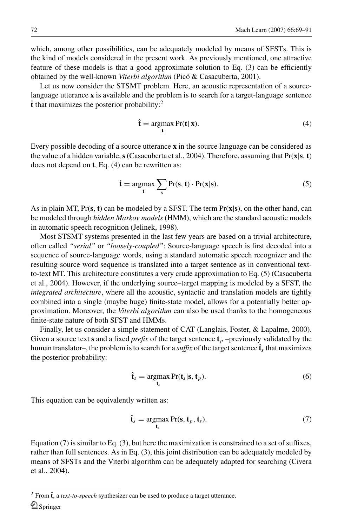which, among other possibilities, can be adequately modeled by means of SFSTs. This is the kind of models considered in the present work. As previously mentioned, one attractive feature of these models is that a good approximate solution to Eq. (3) can be efficiently obtained by the well-known *Viterbi algorithm* (Picó & Casacuberta, 2001).

Let us now consider the STSMT problem. Here, an acoustic representation of a sourcelanguage utterance **x** is available and the problem is to search for a target-language sentence ˆ**t** that maximizes the posterior probability:<sup>2</sup>

$$
\hat{\mathbf{t}} = \underset{\mathbf{t}}{\operatorname{argmax}} \Pr(\mathbf{t} | \mathbf{x}).\tag{4}
$$

Every possible decoding of a source utterance **x** in the source language can be considered as the value of a hidden variable,**s**(Casacuberta et al., 2004). Therefore, assuming that Pr(**x**|**s**, **t**) does not depend on **t**, Eq. (4) can be rewritten as:

$$
\hat{\mathbf{t}} = \underset{\mathbf{t}}{\operatorname{argmax}} \sum_{\mathbf{s}} \Pr(\mathbf{s}, \mathbf{t}) \cdot \Pr(\mathbf{x}|\mathbf{s}). \tag{5}
$$

As in plain MT, Pr(**s**, **t**) can be modeled by a SFST. The term Pr(**x**|**s**), on the other hand, can be modeled through *hidden Markov models* (HMM), which are the standard acoustic models in automatic speech recognition (Jelinek, 1998).

Most STSMT systems presented in the last few years are based on a trivial architecture, often called *"serial"* or *"loosely-coupled"*: Source-language speech is first decoded into a sequence of source-language words, using a standard automatic speech recognizer and the resulting source word sequence is translated into a target sentence as in conventional textto-text MT. This architecture constitutes a very crude approximation to Eq. (5) (Casacuberta et al., 2004). However, if the underlying source–target mapping is modeled by a SFST, the *integrated architecture*, where all the acoustic, syntactic and translation models are tightly combined into a single (maybe huge) finite-state model, allows for a potentially better approximation. Moreover, the *Viterbi algorithm* can also be used thanks to the homogeneous finite-state nature of both SFST and HMMs.

Finally, let us consider a simple statement of CAT (Langlais, Foster, & Lapalme, 2000). Given a source text **s** and a fixed *prefix* of the target sentence  $t_p$  –previously validated by the human translator–, the problem is to search for a *suffix* of the target sentence  $\hat{\mathbf{t}}_s$  that maximizes the posterior probability:

$$
\hat{\mathbf{t}}_s = \underset{\mathbf{t}_s}{\operatorname{argmax}} \Pr(\mathbf{t}_s | \mathbf{s}, \mathbf{t}_p). \tag{6}
$$

This equation can be equivalently written as:

$$
\hat{\mathbf{t}}_s = \underset{\mathbf{t}_s}{\operatorname{argmax}} \Pr(\mathbf{s}, \mathbf{t}_p, \mathbf{t}_s). \tag{7}
$$

Equation  $(7)$  is similar to Eq.  $(3)$ , but here the maximization is constrained to a set of suffixes, rather than full sentences. As in Eq. (3), this joint distribution can be adequately modeled by means of SFSTs and the Viterbi algorithm can be adequately adapted for searching (Civera et al., 2004).

<sup>&</sup>lt;sup>2</sup> From  $\hat{\mathbf{t}}$ , a *text-to-speech* synthesizer can be used to produce a target utterance.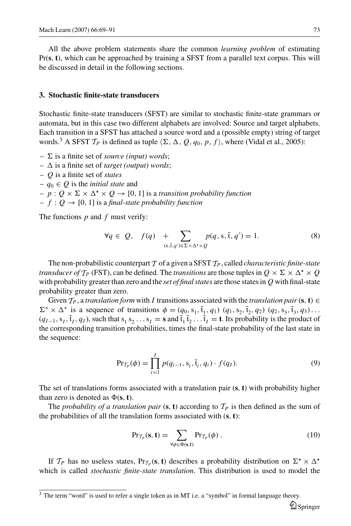All the above problem statements share the common *learning problem* of estimating Pr(**s**, **t**), which can be approached by training a SFST from a parallel text corpus. This will be discussed in detail in the following sections.

# **3. Stochastic finite-state transducers**

Stochastic finite-state transducers (SFST) are similar to stochastic finite-state grammars or automata, but in this case two different alphabets are involved: Source and target alphabets. Each transition in a SFST has attached a source word and a (possible empty) string of target words.<sup>3</sup> A SFST  $\mathcal{T}_P$  is defined as tuple  $\langle \Sigma, \Delta, Q, q_0, p, f \rangle$ , where (Vidal et al., 2005):

- $\Sigma$  is a finite set of *source (input)* words;
- $\Delta$  is a finite set of *target (output) words*;
- *Q* is a finite set of *states*
- $-q_0 \in Q$  is the *initial state* and

 $- p : Q \times \Sigma \times \Delta^* \times Q \rightarrow [0, 1]$  is a *transition probability function* 

 $- f : Q \rightarrow [0, 1]$  is a *final-state probability function* 

The functions *p* and *f* must verify:

$$
\forall q \in Q, \quad f(q) \quad + \sum_{(s,\tilde{t},q') \in \Sigma \times \Delta^* \times Q} p(q,s,\tilde{t},q') = 1. \tag{8}
$$

The non-probabilistic counterpart  $\mathcal T$  of a given a SFST  $\mathcal T_P$ , called *characteristic finite-state transducer of*  $T_P$  (FST), can be defined. The *transitions* are those tuples in  $Q \times \Sigma \times \Delta^* \times Q$ with probability greater than zero and the *set of final states* are those states in *Q* with final-state probability greater than zero.

Given  $T_P$ , a *translation form* with *I* transitions associated with the *translation pair* (**s**, **t**) ∈  $\Sigma^* \times \Delta^*$  is a sequence of transitions  $\phi = (q_0, s_1, \tilde{t}_1, q_1)$   $(q_1, s_2, \tilde{t}_2, q_2)$   $(q_2, s_3, \tilde{t}_3, q_3)$ ...  $(q_{I-1}, s_I, \tilde{t}_I, q_I)$ , such that  $s_1 s_2 \ldots s_I = s$  and  $\tilde{t}_1 \tilde{t}_2 \ldots \tilde{t}_I = t$ . Its probability is the product of the corresponding transition probabilities, times the final-state probability of the last state in the sequence:

$$
Pr_{T_P}(\phi) = \prod_{i=1}^{I} p(q_{i-1}, s_i, \tilde{t}_i, q_i) \cdot f(q_I).
$$
 (9)

The set of translations forms associated with a translation pair (**s**, **t**) with probability higher than zero is denoted as  $\Phi(s, t)$ .

The *probability of a translation pair* (s, t) according to  $T_p$  is then defined as the sum of the probabilities of all the translation forms associated with (**s**, **t**):

$$
\Pr_{\mathcal{T}_P}(\mathbf{s}, \mathbf{t}) = \sum_{\forall \phi \in \Phi(\mathbf{s}, \mathbf{t})} \Pr_{\mathcal{T}_P}(\phi) . \tag{10}
$$

If  $T_P$  has no useless states,  $Pr_{T_P}(s, t)$  describes a probability distribution on  $\Sigma^* \times \Delta^*$ which is called *stochastic finite-state translation*. This distribution is used to model the

<sup>&</sup>lt;sup>3</sup> The term "word" is used to refer a single token as in MT i.e. a "symbol" in formal language theory.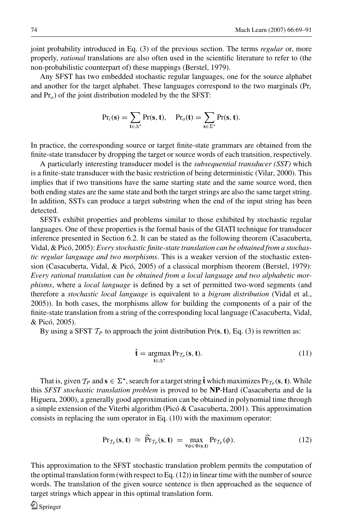joint probability introduced in Eq. (3) of the previous section. The terms *regular* or, more properly, *rational* translations are also often used in the scientific literature to refer to (the non-probabilistic counterpart of) these mappings (Berstel, 1979).

Any SFST has two embedded stochastic regular languages, one for the source alphabet and another for the target alphabet. These languages correspond to the two marginals (Pr*<sup>i</sup>* and Pr*o*) of the joint distribution modeled by the the SFST:

$$
\text{Pr}_i(s) = \sum_{\mathbf{t} \in \Delta^\star} \text{Pr}(s, \mathbf{t}), \quad \text{Pr}_o(\mathbf{t}) = \sum_{s \in \Sigma^\star} \text{Pr}(s, \mathbf{t}).
$$

In practice, the corresponding source or target finite-state grammars are obtained from the finite-state transducer by dropping the target or source words of each transition, respectively.

A particularly interesting transducer model is the *subsequential transducer (SST)* which is a finite-state transducer with the basic restriction of being deterministic (Vilar, 2000). This implies that if two transitions have the same starting state and the same source word, then both ending states are the same state and both the target strings are also the same target string. In addition, SSTs can produce a target substring when the end of the input string has been detected.

SFSTs exhibit properties and problems similar to those exhibited by stochastic regular languages. One of these properties is the formal basis of the GIATI technique for transducer inference presented in Section 6.2. It can be stated as the following theorem (Casacuberta, Vidal, & Picó, 2005): *Every stochastic finite-state translation can be obtained from a stochastic regular language and two morphisms*. This is a weaker version of the stochastic extension (Casacuberta, Vidal, & Picó, 2005) of a classical morphism theorem (Berstel, 1979): *Every rational translation can be obtained from a local language and two alphabetic morphisms*, where a *local language* is defined by a set of permitted two-word segments (and therefore a *stochastic local language* is equivalent to a *bigram distribution* (Vidal et al., 2005)). In both cases, the morphisms allow for building the components of a pair of the finite-state translation from a string of the corresponding local language (Casacuberta, Vidal,  $&$  Picó, 2005).

By using a SFST  $T_p$  to approach the joint distribution  $Pr(s, t)$ , Eq. (3) is rewritten as:

$$
\hat{\mathbf{t}} = \underset{\mathbf{t} \in \Delta^*}{\operatorname{argmax}} \Pr_{\mathcal{T}_P}(\mathbf{s}, \mathbf{t}).\tag{11}
$$

That is, given  $\mathcal{T}_P$  and  $\mathbf{s} \in \Sigma^*$ , search for a target string  $\hat{\mathbf{t}}$  which maximizes  $Pr_{\mathcal{T}_P}(\mathbf{s}, \mathbf{t})$ . While this *SFST stochastic translation problem* is proved to be **NP**-Hard (Casacuberta and de la Higuera, 2000), a generally good approximation can be obtained in polynomial time through a simple extension of the Viterbi algorithm (Picó & Casacuberta, 2001). This approximation consists in replacing the sum operator in Eq. (10) with the maximum operator:

$$
\Pr_{\mathcal{T}_P}(\mathbf{s}, \mathbf{t}) \approx \widehat{\Pr}_{\mathcal{T}_P}(\mathbf{s}, \mathbf{t}) = \max_{\forall \phi \in \Phi(\mathbf{s}, \mathbf{t})} \Pr_{\mathcal{T}_P}(\phi). \tag{12}
$$

This approximation to the SFST stochastic translation problem permits the computation of the optimal translation form (with respect to Eq. (12)) in linear time with the number of source words. The translation of the given source sentence is then approached as the sequence of target strings which appear in this optimal translation form.

 $\mathcal{D}_{\text{Springer}}$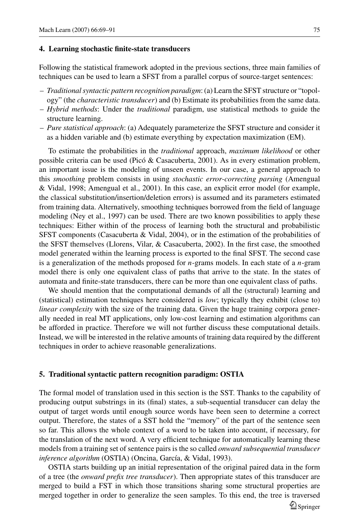## **4. Learning stochastic finite-state transducers**

Following the statistical framework adopted in the previous sections, three main families of techniques can be used to learn a SFST from a parallel corpus of source-target sentences:

- *Traditional syntactic pattern recognition paradigm*: (a) Learn the SFST structure or "topology" (the *characteristic transducer*) and (b) Estimate its probabilities from the same data.
- *Hybrid methods*: Under the *traditional* paradigm, use statistical methods to guide the structure learning.
- *Pure statistical approach*: (a) Adequately parameterize the SFST structure and consider it as a hidden variable and (b) estimate everything by expectation maximization (EM).

To estimate the probabilities in the *traditional* approach, *maximum likelihood* or other possible criteria can be used (Picó & Casacuberta, 2001). As in every estimation problem, an important issue is the modeling of unseen events. In our case, a general approach to this *smoothing* problem consists in using *stochastic error-correcting parsing* (Amengual & Vidal, 1998; Amengual et al., 2001). In this case, an explicit error model (for example, the classical substitution/insertion/deletion errors) is assumed and its parameters estimated from training data. Alternatively, smoothing techniques borrowed from the field of language modeling (Ney et al., 1997) can be used. There are two known possibilities to apply these techniques: Either within of the process of learning both the structural and probabilistic SFST components (Casacuberta & Vidal, 2004), or in the estimation of the probabilities of the SFST themselves (Llorens, Vilar, & Casacuberta, 2002). In the first case, the smoothed model generated within the learning process is exported to the final SFST. The second case is a generalization of the methods proposed for *n*-grams models. In each state of a *n*-gram model there is only one equivalent class of paths that arrive to the state. In the states of automata and finite-state transducers, there can be more than one equivalent class of paths.

We should mention that the computational demands of all the (structural) learning and (statistical) estimation techniques here considered is *low*; typically they exhibit (close to) *linear complexity* with the size of the training data. Given the huge training corpora generally needed in real MT applications, only low-cost learning and estimation algorithms can be afforded in practice. Therefore we will not further discuss these computational details. Instead, we will be interested in the relative amounts of training data required by the different techniques in order to achieve reasonable generalizations.

# **5. Traditional syntactic pattern recognition paradigm: OSTIA**

The formal model of translation used in this section is the SST. Thanks to the capability of producing output substrings in its (final) states, a sub-sequential transducer can delay the output of target words until enough source words have been seen to determine a correct output. Therefore, the states of a SST hold the "memory" of the part of the sentence seen so far. This allows the whole context of a word to be taken into account, if necessary, for the translation of the next word. A very efficient technique for automatically learning these models from a training set of sentence pairs is the so called *onward subsequential transducer inference algorithm* (OSTIA) (Oncina, García, & Vidal, 1993).

OSTIA starts building up an initial representation of the original paired data in the form of a tree (the *onward prefix tree transducer*). Then appropriate states of this transducer are merged to build a FST in which those transitions sharing some structural properties are merged together in order to generalize the seen samples. To this end, the tree is traversed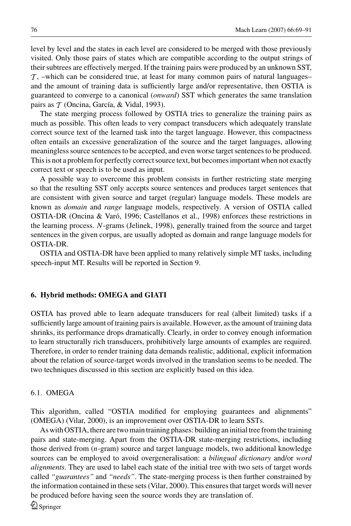level by level and the states in each level are considered to be merged with those previously visited. Only those pairs of states which are compatible according to the output strings of their subtrees are effectively merged. If the training pairs were produced by an unknown SST,  $\tau$ , –which can be considered true, at least for many common pairs of natural languages– and the amount of training data is sufficiently large and/or representative, then OSTIA is guaranteed to converge to a canonical (*onward*) SST which generates the same translation pairs as  $T$  (Oncina, García, & Vidal, 1993).

The state merging process followed by OSTIA tries to generalize the training pairs as much as possible. This often leads to very compact transducers which adequately translate correct source text of the learned task into the target language. However, this compactness often entails an excessive generalization of the source and the target languages, allowing meaningless source sentences to be accepted, and even worse target sentences to be produced. This is not a problem for perfectly correct source text, but becomes important when not exactly correct text or speech is to be used as input.

A possible way to overcome this problem consists in further restricting state merging so that the resulting SST only accepts source sentences and produces target sentences that are consistent with given source and target (regular) language models. These models are known as *domain* and *range* language models, respectively. A version of OSTIA called OSTIA-DR (Oncina & Var´o, 1996; Castellanos et al., 1998) enforces these restrictions in the learning process. *N*-grams (Jelinek, 1998), generally trained from the source and target sentences in the given corpus, are usually adopted as domain and range language models for OSTIA-DR.

OSTIA and OSTIA-DR have been applied to many relatively simple MT tasks, including speech-input MT. Results will be reported in Section 9.

### **6. Hybrid methods: OMEGA and GIATI**

OSTIA has proved able to learn adequate transducers for real (albeit limited) tasks if a sufficiently large amount of training pairs is available. However, as the amount of training data shrinks, its performance drops dramatically. Clearly, in order to convey enough information to learn structurally rich transducers, prohibitively large amounts of examples are required. Therefore, in order to render training data demands realistic, additional, explicit information about the relation of source-target words involved in the translation seems to be needed. The two techniques discussed in this section are explicitly based on this idea.

## 6.1. OMEGA

This algorithm, called "OSTIA modified for employing guarantees and alignments" (OMEGA) (Vilar, 2000), is an improvement over OSTIA-DR to learn SSTs.

As with OSTIA, there are two main training phases: building an initial tree from the training pairs and state-merging. Apart from the OSTIA-DR state-merging restrictions, including those derived from (*n*-gram) source and target language models, two additional knowledge sources can be employed to avoid overgeneralisation: a *bilingual dictionary* and/or *word alignments*. They are used to label each state of the initial tree with two sets of target words called *"guarantees"* and *"needs"*. The state-merging process is then further constrained by the information contained in these sets (Vilar, 2000). This ensures that target words will never be produced before having seen the source words they are translation of.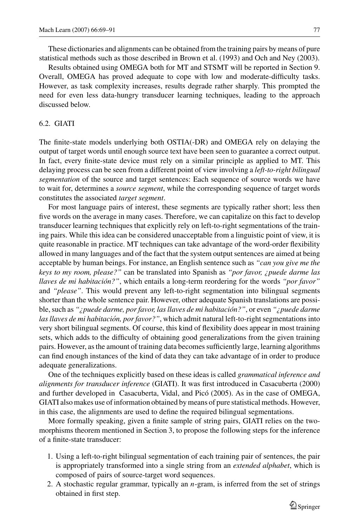These dictionaries and alignments can be obtained from the training pairs by means of pure statistical methods such as those described in Brown et al. (1993) and Och and Ney (2003).

Results obtained using OMEGA both for MT and STSMT will be reported in Section 9. Overall, OMEGA has proved adequate to cope with low and moderate-difficulty tasks. However, as task complexity increases, results degrade rather sharply. This prompted the need for even less data-hungry transducer learning techniques, leading to the approach discussed below.

# 6.2. GIATI

The finite-state models underlying both OSTIA(-DR) and OMEGA rely on delaying the output of target words until enough source text have been seen to guarantee a correct output. In fact, every finite-state device must rely on a similar principle as applied to MT. This delaying process can be seen from a different point of view involving a *left-to-right bilingual segmentation* of the source and target sentences: Each sequence of source words we have to wait for, determines a *source segment*, while the corresponding sequence of target words constitutes the associated *target segment*.

For most language pairs of interest, these segments are typically rather short; less then five words on the average in many cases. Therefore, we can capitalize on this fact to develop transducer learning techniques that explicitly rely on left-to-right segmentations of the training pairs. While this idea can be considered unacceptable from a linguistic point of view, it is quite reasonable in practice. MT techniques can take advantage of the word-order flexibility allowed in many languages and of the fact that the system output sentences are aimed at being acceptable by human beings. For instance, an English sentence such as *"can you give me the keys to my room, please?"* can be translated into Spanish as *"por favor, ¿puede darme las llaves de mi habitacion?" ´* , which entails a long-term reordering for the words *"por favor"* and *"please"*. This would prevent any left-to-right segmentation into bilingual segments shorter than the whole sentence pair. However, other adequate Spanish translations are possible, such as *"¿puede darme, por favor, las llaves de mi habitacion?" ´* , or even *"¿puede darme las llaves de mi habitación, por favor?"*, which admit natural left-to-right segmentations into very short bilingual segments. Of course, this kind of flexibility does appear in most training sets, which adds to the difficulty of obtaining good generalizations from the given training pairs. However, as the amount of training data becomes sufficiently large, learning algorithms can find enough instances of the kind of data they can take advantage of in order to produce adequate generalizations.

One of the techniques explicitly based on these ideas is called *grammatical inference and alignments for transducer inference* (GIATI). It was first introduced in Casacuberta (2000) and further developed in Casacuberta, Vidal, and Picó (2005). As in the case of OMEGA, GIATI also makes use of information obtained by means of pure statistical methods. However, in this case, the alignments are used to define the required bilingual segmentations.

More formally speaking, given a finite sample of string pairs, GIATI relies on the twomorphisms theorem mentioned in Section 3, to propose the following steps for the inference of a finite-state transducer:

- 1. Using a left-to-right bilingual segmentation of each training pair of sentences, the pair is appropriately transformed into a single string from an *extended alphabet*, which is composed of pairs of source-target word sequences.
- 2. A stochastic regular grammar, typically an *n*-gram, is inferred from the set of strings obtained in first step.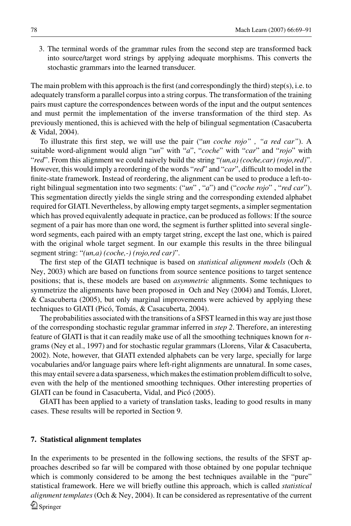3. The terminal words of the grammar rules from the second step are transformed back into source/target word strings by applying adequate morphisms. This converts the stochastic grammars into the learned transducer.

The main problem with this approach is the first (and correspondingly the third) step(s), i.e. to adequately transform a parallel corpus into a string corpus. The transformation of the training pairs must capture the correspondences between words of the input and the output sentences and must permit the implementation of the inverse transformation of the third step. As previously mentioned, this is achieved with the help of bilingual segmentation (Casacuberta & Vidal, 2004).

To illustrate this first step, we will use the pair ("*un coche rojo" , "a red car"*). A suitable word-alignment would align "*un*" with "*a*", "*coche*" with "*car*" and "*rojo*" with "*red*". From this alignment we could naively build the string "*(un,a) (coche,car) (rojo,red)*". However, this would imply a reordering of the words "*red*" and "*car*", difficult to model in the finite-state framework. Instead of reordering, the alignment can be used to produce a left-toright bilingual segmentation into two segments: ("*un*","*a*") and ("*coche rojo*","*red car*"). This segmentation directly yields the single string and the corresponding extended alphabet required for GIATI. Nevertheless, by allowing empty target segments, a simpler segmentation which has proved equivalently adequate in practice, can be produced as follows: If the source segment of a pair has more than one word, the segment is further splitted into several singleword segments, each paired with an empty target string, except the last one, which is paired with the original whole target segment. In our example this results in the three bilingual segment string: "*(un,a) (coche,-) (rojo,red car)*".

The first step of the GIATI technique is based on *statistical alignment models* (Och & Ney, 2003) which are based on functions from source sentence positions to target sentence positions; that is, these models are based on *asymmetric* alignments. Some techniques to symmetrize the alignments have been proposed in Och and Ney (2004) and Tomás, Lloret, & Casacuberta (2005), but only marginal improvements were achieved by applying these techniques to GIATI (Picó, Tomás, & Casacuberta, 2004).

The probabilities associated with the transitions of a SFST learned in this way are just those of the corresponding stochastic regular grammar inferred in *step 2*. Therefore, an interesting feature of GIATI is that it can readily make use of all the smoothing techniques known for *n*grams (Ney et al., 1997) and for stochastic regular grammars (Llorens, Vilar & Casacuberta, 2002). Note, however, that GIATI extended alphabets can be very large, specially for large vocabularies and/or language pairs where left-right alignments are unnatural. In some cases, this may entail severe a data sparseness, which makes the estimation problem difficult to solve, even with the help of the mentioned smoothing techniques. Other interesting properties of GIATI can be found in Casacuberta, Vidal, and Picó (2005).

GIATI has been applied to a variety of translation tasks, leading to good results in many cases. These results will be reported in Section 9.

# **7. Statistical alignment templates**

In the experiments to be presented in the following sections, the results of the SFST approaches described so far will be compared with those obtained by one popular technique which is commonly considered to be among the best techniques available in the "pure" statistical framework. Here we will briefly outline this approach, which is called *statistical alignment templates* (Och & Ney, 2004). It can be considered as representative of the current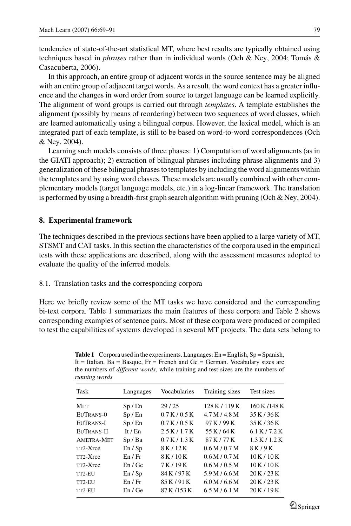tendencies of state-of-the-art statistical MT, where best results are typically obtained using techniques based in *phrases* rather than in individual words (Och & Ney, 2004; Tomás & Casacuberta, 2006).

In this approach, an entire group of adjacent words in the source sentence may be aligned with an entire group of adjacent target words. As a result, the word context has a greater influence and the changes in word order from source to target language can be learned explicitly. The alignment of word groups is carried out through *templates*. A template establishes the alignment (possibly by means of reordering) between two sequences of word classes, which are learned automatically using a bilingual corpus. However, the lexical model, which is an integrated part of each template, is still to be based on word-to-word correspondences (Och & Ney, 2004).

Learning such models consists of three phases: 1) Computation of word alignments (as in the GIATI approach); 2) extraction of bilingual phrases including phrase alignments and 3) generalization of these bilingual phrases to templates by including the word alignments within the templates and by using word classes. These models are usually combined with other complementary models (target language models, etc.) in a log-linear framework. The translation is performed by using a breadth-first graph search algorithm with pruning (Och & Ney, 2004).

# **8. Experimental framework**

The techniques described in the previous sections have been applied to a large variety of MT, STSMT and CAT tasks. In this section the characteristics of the corpora used in the empirical tests with these applications are described, along with the assessment measures adopted to evaluate the quality of the inferred models.

### 8.1. Translation tasks and the corresponding corpora

Here we briefly review some of the MT tasks we have considered and the corresponding bi-text corpora. Table 1 summarizes the main features of these corpora and Table 2 shows corresponding examples of sentence pairs. Most of these corpora were produced or compiled to test the capabilities of systems developed in several MT projects. The data sets belong to

Table 1 Corpora used in the experiments. Languages: En = English, Sp = Spanish, It = Italian, Ba = Basque, Fr = French and Ge = German. Vocabulary sizes are the numbers of *different words*, while training and test sizes are the numbers of *running words*

| Task              | Vocabularies<br>Languages |               | Training sizes | Test sizes    |  |
|-------------------|---------------------------|---------------|----------------|---------------|--|
| Ml t              | Sp / En                   | 29/25         | 128 K / 119 K  | 160 K / 148 K |  |
| EUTRANS-0         | Sp / En                   | 0.7 K / 0.5 K | 4.7 M / 4.8 M  | 35 K / 36 K   |  |
| EUTRANS-I         | Sp / En                   | 0.7 K / 0.5 K | 97 K / 99 K    | 35 K / 36 K   |  |
| EUTRANS-II        | It / $En$                 | 2.5 K / 1.7 K | 55 K / 64 K    | 6.1 K / 7.2 K |  |
| <b>AMETRA-MET</b> | Sp/Ba                     | 0.7 K / 1.3 K | 87 K / 77 K    | 1.3 K / 1.2 K |  |
| TT2-Xrce          | En / Sp                   | 8 K / 12 K    | 0.6 M / 0.7 M  | 8 K / 9 K     |  |
| TT2-Xrce          | En / Fr                   | 8 K / 10 K    | 0.6 M / 0.7 M  | 10 K / 10 K   |  |
| TT2-Xrce          | En / Ge                   | 7 K / 19 K    | 0.6 M / 0.5 M  | 10 K / 10 K   |  |
| TT2-EU            | En / Sp                   | 84 K / 97 K   | 5.9 M / 6.6 M  | 20 K / 23 K   |  |
| TT2-EU            | En / Fr                   | 85 K / 91 K   | 6.0 M / 6.6 M  | 20 K / 23 K   |  |
| TT2-EU            | En / Ge                   | 87 K /153 K   | 6.5 M / 6.1 M  | 20 K / 19 K   |  |

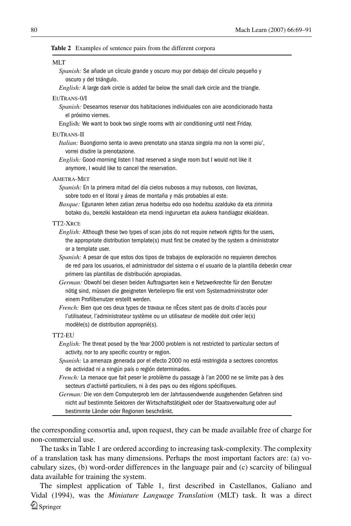#### **Table 2** Examples of sentence pairs from the different corpora

# MLT

- *Spanish:* Se añade un círculo grande y oscuro muy por debajo del círculo pequeño y oscuro y del triángulo.
- *English:* A large dark circle is added far below the small dark circle and the triangle.

#### EUTRANS-0/I

- *Spanish:* Deseamos reservar dos habitaciones individuales con aire acondicionado hasta el próximo viernes.
- English: We want to book two single rooms with air conditioning until next Friday.

#### EUTRANS-II

- *Italian:* Buongiorno senta io avevo prenotato una stanza singola ma non la vorrei piu', vorrei disdire la prenotazione.
- *English:* Good-morning listen I had reserved a single room but I would not like it anymore, I would like to cancel the reservation.

#### AMETRA-MET

- *Spanish:* En la primera mitad del día cielos nubosos a muy nubosos, con lloviznas, sobre todo en el litoral y áreas de montaña y más probables al este.
- *Basque:* Egunaren lehen zatian zerua hodeitsu edo oso hodeitsu azalduko da eta zirimiria botako du, bereziki kostaldean eta mendi inguruetan eta aukera handiagoz ekialdean.

#### TT2-XRCE

- *English:* Although these two types of scan jobs do not require network rights for the users, the appropriate distribution template(s) must first be created by the system a dministrator or a template user.
- *Spanish:* A pesar de que estos dos tipos de trabajos de exploración no requieren derechos de red para los usuarios, el administrador del sistema o el usuario de la plantilla deberán crear primero las plantillas de distribución apropiadas.
- German: Obwohl bei diesen beiden Auftragsarten kein e Netzwerkrechte für den Benutzer nötig sind, müssen die geeigneten Verteilerpro file erst vom Systemadministrator oder einem Profilbenutzer erstellt werden.
- *French:* Bien que ces deux types de travaux ne nÈces sitent pas de droits d'accès pour l'utilisateur, l'administrateur système ou un utilisateur de modèle doit créer le(s) modèle(s) de distribution approprié(s).

#### TT2-EU

- *English:* The threat posed by the Year 2000 problem is not restricted to particular sectors of activity, nor to any specific country or region.
- *Spanish:* La amenaza generada por el efecto 2000 no está restringida a sectores concretos de actividad ni a ningún país o región determinados.
- *French:* La menace que fait peser le problème du passage à l'an 2000 ne se limite pas à des secteurs d'activité particuliers, ni à des pays ou des régions spécifiques.
- *German:* Die von dem Computerprob lem der Jahrtausendwende ausgehenden Gefahren sind nicht auf bestimmte Sektoren der Wirtschaftstätigkeit oder der Staatsverwaltung oder auf bestimmte Länder oder Regionen beschränkt.

the corresponding consortia and, upon request, they can be made available free of charge for non-commercial use.

The tasks in Table 1 are ordered according to increasing task-complexity. The complexity of a translation task has many dimensions. Perhaps the most important factors are: (a) vocabulary sizes, (b) word-order differences in the language pair and (c) scarcity of bilingual data available for training the system.

The simplest application of Table 1, first described in Castellanos, Galiano and Vidal (1994), was the *Miniature Language Translation* (MLT) task. It was a direct  $\mathcal{D}_{\text{Springer}}$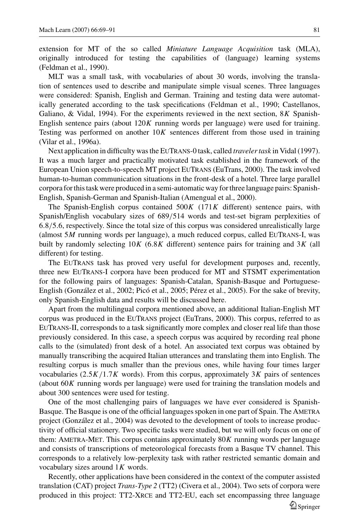extension for MT of the so called *Miniature Language Acquisition* task (MLA), originally introduced for testing the capabilities of (language) learning systems (Feldman et al., 1990).

MLT was a small task, with vocabularies of about 30 words, involving the translation of sentences used to describe and manipulate simple visual scenes. Three languages were considered: Spanish, English and German. Training and testing data were automatically generated according to the task specifications (Feldman et al., 1990; Castellanos, Galiano, & Vidal, 1994). For the experiments reviewed in the next section, 8*K* Spanish-English sentence pairs (about 120*K* running words per language) were used for training. Testing was performed on another 10*K* sentences different from those used in training (Vilar et al., 1996a).

Next application in difficulty was the EUTRANS-0 task, called *traveler task* in Vidal (1997). It was a much larger and practically motivated task established in the framework of the European Union speech-to-speech MT project EUTRANS (EuTrans, 2000). The task involved human-to-human communication situations in the front-desk of a hotel. Three large parallel corpora for this task were produced in a semi-automatic way for three language pairs: Spanish-English, Spanish-German and Spanish-Italian (Amengual et al., 2000).

The Spanish-English corpus contained 500*K* (171*K* different) sentence pairs, with Spanish/English vocabulary sizes of 689/514 words and test-set bigram perplexities of 6.8/5.6, respectively. Since the total size of this corpus was considered unrealistically large (almost 5*M* running words per language), a much reduced corpus, called EUTRANS-I, was built by randomly selecting 10*K* (6.8*K* different) sentence pairs for training and 3*K* (all different) for testing.

The EUTRANS task has proved very useful for development purposes and, recently, three new EUTRANS-I corpora have been produced for MT and STSMT experimentation for the following pairs of languages: Spanish-Catalan, Spanish-Basque and Portuguese-English (González et al., 2002; Picó et al., 2005; Pérez et al., 2005). For the sake of brevity, only Spanish-English data and results will be discussed here.

Apart from the multilingual corpora mentioned above, an additional Italian-English MT corpus was produced in the EUTRANS project (EuTrans, 2000). This corpus, referred to as EUTRANS-II, corresponds to a task significantly more complex and closer real life than those previously considered. In this case, a speech corpus was acquired by recording real phone calls to the (simulated) front desk of a hotel. An associated text corpus was obtained by manually transcribing the acquired Italian utterances and translating them into English. The resulting corpus is much smaller than the previous ones, while having four times larger vocabularies (2.5*K*/1.7*K* words). From this corpus, approximately 3*K* pairs of sentences (about 60*K* running words per language) were used for training the translation models and about 300 sentences were used for testing.

One of the most challenging pairs of languages we have ever considered is Spanish-Basque. The Basque is one of the official languages spoken in one part of Spain. The AMETRA project (González et al., 2004) was devoted to the development of tools to increase productivity of official stationery. Two specific tasks were studied, but we will only focus on one of them: AMETRA-MET. This corpus contains approximately 80*K* running words per language and consists of transcriptions of meteorological forecasts from a Basque TV channel. This corresponds to a relatively low-perplexity task with rather restricted semantic domain and vocabulary sizes around 1*K* words.

Recently, other applications have been considered in the context of the computer assisted translation (CAT) project *Trans-Type 2* (TT2) (Civera et al., 2004). Two sets of corpora were produced in this project: TT2-XRCE and TT2-EU, each set encompassing three language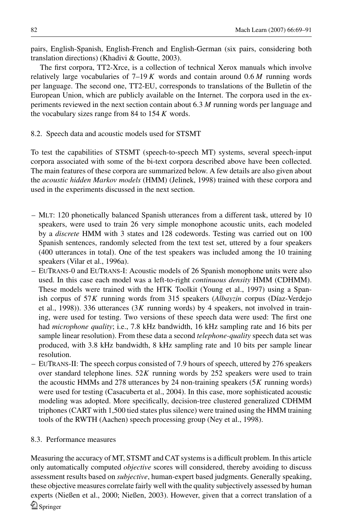pairs, English-Spanish, English-French and English-German (six pairs, considering both translation directions) (Khadivi & Goutte, 2003).

The first corpora, TT2-Xrce, is a collection of technical Xerox manuals which involve relatively large vocabularies of  $7-19K$  words and contain around 0.6 *M* running words per language. The second one, TT2-EU, corresponds to translations of the Bulletin of the European Union, which are publicly available on the Internet. The corpora used in the experiments reviewed in the next section contain about 6.3 *M* running words per language and the vocabulary sizes range from 84 to 154 *K* words.

8.2. Speech data and acoustic models used for STSMT

To test the capabilities of STSMT (speech-to-speech MT) systems, several speech-input corpora associated with some of the bi-text corpora described above have been collected. The main features of these corpora are summarized below. A few details are also given about the *acoustic hidden Markov models* (HMM) (Jelinek, 1998) trained with these corpora and used in the experiments discussed in the next section.

- MLT: 120 phonetically balanced Spanish utterances from a different task, uttered by 10 speakers, were used to train 26 very simple monophone acoustic units, each modeled by a *discrete* HMM with 3 states and 128 codewords. Testing was carried out on 100 Spanish sentences, randomly selected from the text test set, uttered by a four speakers (400 utterances in total). One of the test speakers was included among the 10 training speakers (Vilar et al., 1996a).
- EUTRANS-0 and EUTRANS-I: Acoustic models of 26 Spanish monophone units were also used. In this case each model was a left-to-right *continuous density* HMM (CDHMM). These models were trained with the HTK Toolkit (Young et al., 1997) using a Spanish corpus of 57*K* running words from 315 speakers (*Albayzin* corpus (Díaz-Verdejo et al., 1998)). 336 utterances (3*K* running words) by 4 speakers, not involved in training, were used for testing. Two versions of these speech data were used: The first one had *microphone quality*; i.e., 7.8 kHz bandwidth, 16 kHz sampling rate and 16 bits per sample linear resolution). From these data a second *telephone-quality* speech data set was produced, with 3.8 kHz bandwidth, 8 kHz sampling rate and 10 bits per sample linear resolution.
- EUTRANS-II: The speech corpus consisted of 7.9 hours of speech, uttered by 276 speakers over standard telephone lines. 52*K* running words by 252 speakers were used to train the acoustic HMMs and 278 utterances by 24 non-training speakers (5*K* running words) were used for testing (Casacuberta et al., 2004). In this case, more sophisticated acoustic modeling was adopted. More specifically, decision-tree clustered generalized CDHMM triphones (CART with 1,500 tied states plus silence) were trained using the HMM training tools of the RWTH (Aachen) speech processing group (Ney et al., 1998).

# 8.3. Performance measures

Measuring the accuracy of MT, STSMT and CAT systems is a difficult problem. In this article only automatically computed *objective* scores will considered, thereby avoiding to discuss assessment results based on *subjective*, human-expert based judgments. Generally speaking, these objective measures correlate fairly well with the quality subjectively assessed by human experts (Nießen et al., 2000; Nießen, 2003). However, given that a correct translation of a  $\mathcal{Q}_{\text{Springer}}$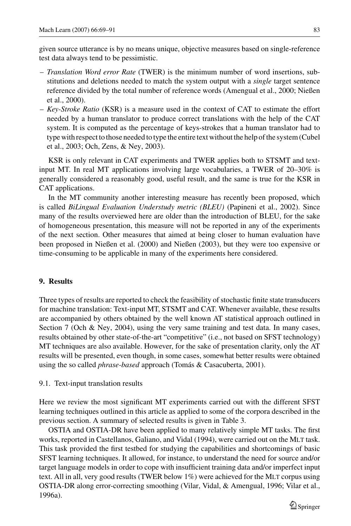given source utterance is by no means unique, objective measures based on single-reference test data always tend to be pessimistic.

- *Translation Word error Rate* (TWER) is the minimum number of word insertions, substitutions and deletions needed to match the system output with a *single* target sentence reference divided by the total number of reference words (Amengual et al., 2000; Nießen et al., 2000).
- *Key-Stroke Ratio* (KSR) is a measure used in the context of CAT to estimate the effort needed by a human translator to produce correct translations with the help of the CAT system. It is computed as the percentage of keys-strokes that a human translator had to type with respect to those needed to type the entire text without the help of the system (Cubel et al., 2003; Och, Zens, & Ney, 2003).

KSR is only relevant in CAT experiments and TWER applies both to STSMT and textinput MT. In real MT applications involving large vocabularies, a TWER of 20–30% is generally considered a reasonably good, useful result, and the same is true for the KSR in CAT applications.

In the MT community another interesting measure has recently been proposed, which is called *BiLingual Evaluation Understudy metric (BLEU)* (Papineni et al., 2002). Since many of the results overviewed here are older than the introduction of BLEU, for the sake of homogeneous presentation, this measure will not be reported in any of the experiments of the next section. Other measures that aimed at being closer to human evaluation have been proposed in Nießen et al. (2000) and Nießen (2003), but they were too expensive or time-consuming to be applicable in many of the experiments here considered.

# **9. Results**

Three types of results are reported to check the feasibility of stochastic finite state transducers for machine translation: Text-input MT, STSMT and CAT. Whenever available, these results are accompanied by others obtained by the well known AT statistical approach outlined in Section 7 (Och & Ney, 2004), using the very same training and test data. In many cases, results obtained by other state-of-the-art "competitive" (i.e., not based on SFST technology) MT techniques are also available. However, for the sake of presentation clarity, only the AT results will be presented, even though, in some cases, somewhat better results were obtained using the so called *phrase-based* approach (Tomás & Casacuberta, 2001).

### 9.1. Text-input translation results

Here we review the most significant MT experiments carried out with the different SFST learning techniques outlined in this article as applied to some of the corpora described in the previous section. A summary of selected results is given in Table 3.

OSTIA and OSTIA-DR have been applied to many relatively simple MT tasks. The first works, reported in Castellanos, Galiano, and Vidal (1994), were carried out on the MLT task. This task provided the first testbed for studying the capabilities and shortcomings of basic SFST learning techniques. It allowed, for instance, to understand the need for source and/or target language models in order to cope with insufficient training data and/or imperfect input text. All in all, very good results (TWER below 1%) were achieved for the MLT corpus using OSTIA-DR along error-correcting smoothing (Vilar, Vidal, & Amengual, 1996; Vilar et al., 1996a).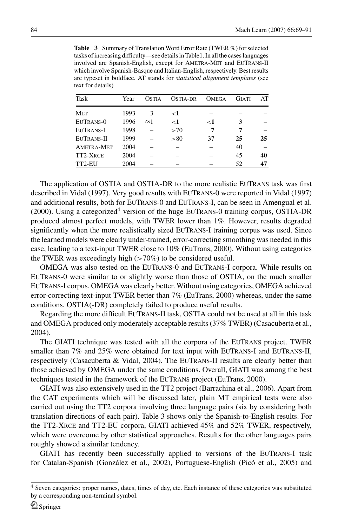**Table 3** Summary of Translation Word Error Rate (TWER %) for selected tasks of increasing difficulty—see details in Table1. In all the cases languages involved are Spanish-English, except for AMETRA-MET and EUTRANS-II which involve Spanish-Basque and Italian-English, respectively. Best results are typeset in boldface. AT stands for *statistical alignment templates* (see text for details)

| Task              | Year | <b>OSTIA</b> | OSTIA-DR | <b>OMEGA</b> | <b>GIATI</b> | AT |
|-------------------|------|--------------|----------|--------------|--------------|----|
| MLT               | 1993 | 3            | <1       |              |              |    |
| EUTRANS-0         | 1996 | $\approx$ 1  | ${<}1$   | ا >          | 3            |    |
| EUTRANS-I         | 1998 |              | >70      | 7            | 7            |    |
| EUTRANS-II        | 1999 |              | > 80     | 37           | 25           | 25 |
| <b>AMETRA-MET</b> | 2004 |              |          |              | 40           |    |
| TT2-XRCE          | 2004 |              |          |              | 45           | 40 |
| TT2-EU            | 2004 |              |          |              | 52           | 47 |

The application of OSTIA and OSTIA-DR to the more realistic EUTRANS task was first described in Vidal (1997). Very good results with EUTRANS-0 were reported in Vidal (1997) and additional results, both for EUTRANS-0 and EUTRANS-I, can be seen in Amengual et al. (2000). Using a categorized<sup>4</sup> version of the huge EUTRANS-0 training corpus, OSTIA-DR produced almost perfect models, with TWER lower than 1%. However, results degraded significantly when the more realistically sized EUTRANS-I training corpus was used. Since the learned models were clearly under-trained, error-correcting smoothing was needed in this case, leading to a text-input TWER close to 10% (EuTrans, 2000). Without using categories the TWER was exceedingly high  $(>70%)$  to be considered useful.

OMEGA was also tested on the EUTRANS-0 and EUTRANS-I corpora. While results on EUTRANS-0 were similar to or slightly worse than those of OSTIA, on the much smaller EUTRANS-I corpus, OMEGA was clearly better. Without using categories, OMEGA achieved error-correcting text-input TWER better than 7% (EuTrans, 2000) whereas, under the same conditions, OSTIA(-DR) completely failed to produce useful results.

Regarding the more difficult EUTRANS-II task, OSTIA could not be used at all in this task and OMEGA produced only moderately acceptable results (37% TWER) (Casacuberta et al., 2004).

The GIATI technique was tested with all the corpora of the EUTRANS project. TWER smaller than 7% and 25% were obtained for text input with EUTRANS-I and EUTRANS-II, respectively (Casacuberta & Vidal, 2004). The EUTRANS-II results are clearly better than those achieved by OMEGA under the same conditions. Overall, GIATI was among the best techniques tested in the framework of the EUTRANS project (EuTrans, 2000).

GIATI was also extensively used in the TT2 project (Barrachina et al., 2006). Apart from the CAT experiments which will be discussed later, plain MT empirical tests were also carried out using the TT2 corpora involving three language pairs (six by considering both translation directions of each pair). Table 3 shows only the Spanish-to-English results. For the TT2-XRCE and TT2-EU corpora, GIATI achieved 45% and 52% TWER, respectively, which were overcome by other statistical approaches. Results for the other languages pairs roughly showed a similar tendency.

GIATI has recently been successfully applied to versions of the EUTRANS-I task for Catalan-Spanish (González et al., 2002), Portuguese-English (Picó et al., 2005) and

Seven categories: proper names, dates, times of day, etc. Each instance of these categories was substituted by a corresponding non-terminal symbol.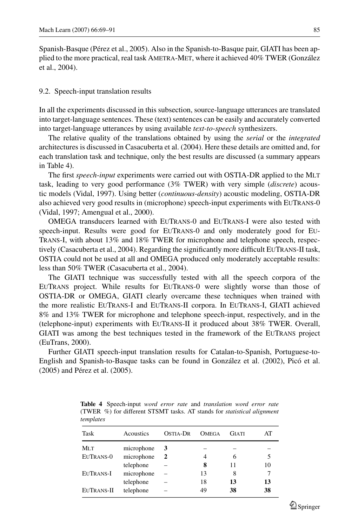Spanish-Basque (Pérez et al., 2005). Also in the Spanish-to-Basque pair, GIATI has been applied to the more practical, real task AMETRA-MET, where it achieved 40% TWER (González et al., 2004).

# 9.2. Speech-input translation results

In all the experiments discussed in this subsection, source-language utterances are translated into target-language sentences. These (text) sentences can be easily and accurately converted into target-language utterances by using available *text-to-speech* synthesizers.

The relative quality of the translations obtained by using the *serial* or the *integrated* architectures is discussed in Casacuberta et al. (2004). Here these details are omitted and, for each translation task and technique, only the best results are discussed (a summary appears in Table 4).

The first *speech-input* experiments were carried out with OSTIA-DR applied to the MLT task, leading to very good performance (3% TWER) with very simple (*discrete*) acoustic models (Vidal, 1997). Using better (*continuous-density*) acoustic modeling, OSTIA-DR also achieved very good results in (microphone) speech-input experiments with EUTRANS-0 (Vidal, 1997; Amengual et al., 2000).

OMEGA transducers learned with EUTRANS-0 and EUTRANS-I were also tested with speech-input. Results were good for EUTRANS-0 and only moderately good for EU-TRANS-I, with about 13% and 18% TWER for microphone and telephone speech, respectively (Casacuberta et al., 2004). Regarding the significantly more difficult EUTRANS-II task, OSTIA could not be used at all and OMEGA produced only moderately acceptable results: less than 50% TWER (Casacuberta et al., 2004).

The GIATI technique was successfully tested with all the speech corpora of the EUTRANS project. While results for EUTRANS-0 were slightly worse than those of OSTIA-DR or OMEGA, GIATI clearly overcame these techniques when trained with the more realistic EUTRANS-I and EUTRANS-II corpora. In EUTRANS-I, GIATI achieved 8% and 13% TWER for microphone and telephone speech-input, respectively, and in the (telephone-input) experiments with EUTRANS-II it produced about 38% TWER. Overall, GIATI was among the best techniques tested in the framework of the EUTRANS project (EuTrans, 2000).

Further GIATI speech-input translation results for Catalan-to-Spanish, Portuguese-to-English and Spanish-to-Basque tasks can be found in González et al. (2002), Picó et al.  $(2005)$  and Pérez et al.  $(2005)$ .

| Task       | Acoustics  | OSTIA-DR | <b>OMEGA</b> | <b>GIATI</b> | AT |
|------------|------------|----------|--------------|--------------|----|
| MLT        | microphone | 3        |              |              |    |
| EUTRANS-0  | microphone | 2        | 4            | 6            |    |
|            | telephone  |          | 8            | 11           | 10 |
| EUTRANS-I  | microphone |          | 13           | 8            |    |
|            | telephone  |          | 18           | 13           | 13 |
| EUTRANS-II | telephone  |          | 49           | 38           | 38 |

**Table 4** Speech-input *word error rate* and *translation word error rate* (TWER %) for different STSMT tasks. AT stands for *statistical alignment templates*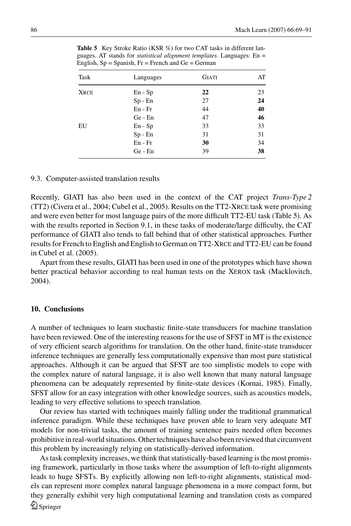| Task        | Languages | <b>GIATI</b> | AT |
|-------------|-----------|--------------|----|
| <b>XRCE</b> | $En - Sp$ | 22           | 23 |
|             | $Sp - En$ | 27           | 24 |
|             | $En - Fr$ | 44           | 40 |
|             | Ge - En   | 47           | 46 |
| EU          | $En - Sp$ | 33           | 33 |
|             | $Sp - En$ | 31           | 31 |
|             | $En - Fr$ | 30           | 34 |
|             | Ge - En   | 39           | 38 |

**Table 5** Key Stroke Ratio (KSR %) for two CAT tasks in different languages. AT stands for *statistical alignment templates*. Languages: En = English,  $Sp = Spanish$ ,  $Fr = French$  and  $Ge = German$ 

# 9.3. Computer-assisted translation results

Recently, GIATI has also been used in the context of the CAT project *Trans-Type 2* (TT2) (Civera et al., 2004; Cubel et al., 2005). Results on the TT2-XRCE task were promising and were even better for most language pairs of the more difficult TT2-EU task (Table 5). As with the results reported in Section 9.1, in these tasks of moderate/large difficulty, the CAT performance of GIATI also tends to fall behind that of other statistical approaches. Further results for French to English and English to German on TT2-XRCE and TT2-EU can be found in Cubel et al. (2005).

Apart from these results, GIATI has been used in one of the prototypes which have shown better practical behavior according to real human tests on the XEROX task (Macklovitch, 2004).

# **10. Conclusions**

A number of techniques to learn stochastic finite-state transducers for machine translation have been reviewed. One of the interesting reasons for the use of SFST in MT is the existence of very efficient search algorithms for translation. On the other hand, finite-state transducer inference techniques are generally less computationally expensive than most pure statistical approaches. Although it can be argued that SFST are too simplistic models to cope with the complex nature of natural language, it is also well known that many natural language phenomena can be adequately represented by finite-state devices (Kornai, 1985). Finally, SFST allow for an easy integration with other knowledge sources, such as acoustics models, leading to very effective solutions to speech translation.

Our review has started with techniques mainly falling under the traditional grammatical inference paradigm. While these techniques have proven able to learn very adequate MT models for non-trivial tasks, the amount of training sentence pairs needed often becomes prohibitive in real-world situations. Other techniques have also been reviewed that circumvent this problem by increasingly relying on statistically-derived information.

As task complexity increases, we think that statistically-based learning is the most promising framework, particularly in those tasks where the assumption of left-to-right alignments leads to huge SFSTs. By explicitly allowing non left-to-right alignments, statistical models can represent more complex natural language phenomena in a more compact form, but they generally exhibit very high computational learning and translation costs as compared  $\bigcirc$  Springer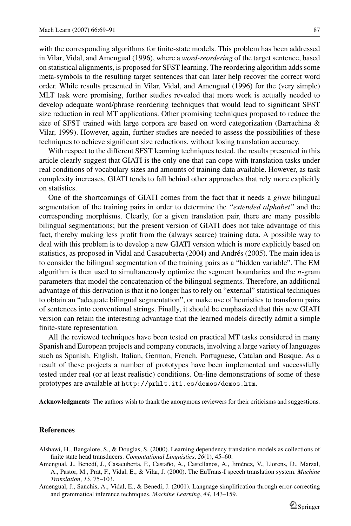with the corresponding algorithms for finite-state models. This problem has been addressed in Vilar, Vidal, and Amengual (1996), where a *word-reordering* of the target sentence, based on statistical alignments, is proposed for SFST learning. The reordering algorithm adds some meta-symbols to the resulting target sentences that can later help recover the correct word order. While results presented in Vilar, Vidal, and Amengual (1996) for the (very simple) MLT task were promising, further studies revealed that more work is actually needed to develop adequate word/phrase reordering techniques that would lead to significant SFST size reduction in real MT applications. Other promising techniques proposed to reduce the size of SFST trained with large corpora are based on word categorization (Barrachina & Vilar, 1999). However, again, further studies are needed to assess the possibilities of these techniques to achieve significant size reductions, without losing translation accuracy.

With respect to the different SFST learning techniques tested, the results presented in this article clearly suggest that GIATI is the only one that can cope with translation tasks under real conditions of vocabulary sizes and amounts of training data available. However, as task complexity increases, GIATI tends to fall behind other approaches that rely more explicitly on statistics.

One of the shortcomings of GIATI comes from the fact that it needs a *given* bilingual segmentation of the training pairs in order to determine the *"extended alphabet"* and the corresponding morphisms. Clearly, for a given translation pair, there are many possible bilingual segmentations; but the present version of GIATI does not take advantage of this fact, thereby making less profit from the (always scarce) training data. A possible way to deal with this problem is to develop a new GIATI version which is more explicitly based on statistics, as proposed in Vidal and Casacuberta (2004) and Andrés (2005). The main idea is to consider the bilingual segmentation of the training pairs as a "hidden variable". The EM algorithm is then used to simultaneously optimize the segment boundaries and the *n*-gram parameters that model the concatenation of the bilingual segments. Therefore, an additional advantage of this derivation is that it no longer has to rely on "external" statistical techniques to obtain an "adequate bilingual segmentation", or make use of heuristics to transform pairs of sentences into conventional strings. Finally, it should be emphasized that this new GIATI version can retain the interesting advantage that the learned models directly admit a simple finite-state representation.

All the reviewed techniques have been tested on practical MT tasks considered in many Spanish and European projects and company contracts, involving a large variety of languages such as Spanish, English, Italian, German, French, Portuguese, Catalan and Basque. As a result of these projects a number of prototypes have been implemented and successfully tested under real (or at least realistic) conditions. On-line demonstrations of some of these prototypes are available at http://prhlt.iti.es/demos/demos.htm.

**Acknowledgments** The authors wish to thank the anonymous reviewers for their criticisms and suggestions.

# **References**

- Alshawi, H., Bangalore, S., & Douglas, S. (2000). Learning dependency translation models as collections of finite state head transducers. *Computational Linguistics*, *26*(1), 45–60.
- Amengual, J., Benedí, J., Casacuberta, F., Castaño, A., Castellanos, A., Jiménez, V., Llorens, D., Marzal, A., Pastor, M., Prat, F., Vidal, E., & Vilar, J. (2000). The EuTrans-I speech translation system. *Machine Translation*, *15*, 75–103.
- Amengual, J., Sanchis, A., Vidal, E., & Benedí, J. (2001). Language simplification through error-correcting and grammatical inference techniques. *Machine Learning*, *44*, 143–159.

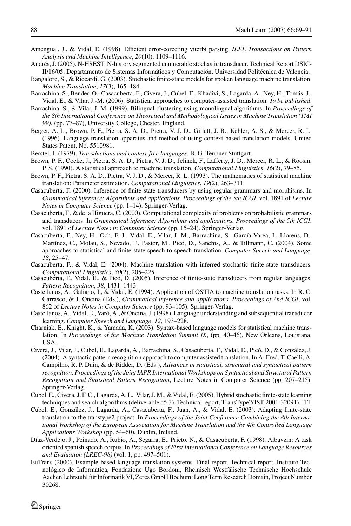- Amengual, J., & Vidal, E. (1998). Efficient error-corecting viterbi parsing. *IEEE Transactions on Pattern Analysis and Machine Intelligence*, *20*(10), 1109–1116.
- Andrés, J. (2005). N-HSEST: N-history segmented enumerable stochastic transducer. Technical Report DSIC-II/16/05, Departamento de Sistemas Informáticos y Computación, Universidad Politécnica de Valencia.
- Bangalore, S., & Riccardi, G. (2003). Stochastic finite-state models for spoken language machine translation. *Machine Translation*, *17*(3), 165–184.
- Barrachina, S., Bender, O., Casacuberta, F., Civera, J., Cubel, E., Khadivi, S., Lagarda, A., Ney, H., Tomás, J., Vidal, E., & Vilar, J.-M. (2006). Statistical approaches to computer-assisted translation. *To be published*.
- Barrachina, S., & Vilar, J. M. (1999). Bilingual clustering using monolingual algorithms. In *Proceedings of the 8th International Conference on Theoretical and Methodological Issues in Machine Translation (TMI 99)*, (pp. 77–87), University College, Chester, England.
- Berger, A. L., Brown, P. F., Pietra, S. A. D., Pietra, V. J. D., Gillett, J. R., Kehler, A. S., & Mercer, R. L. (1996). Language translation apparatus and method of using context-based translation models. United States Patent, No. 5510981.
- Berstel, J. (1979). *Transductions and context-free languages*. B. G. Teubner Stuttgart.
- Brown, P. F., Cocke, J., Pietra, S. A. D., Pietra, V. J. D., Jelinek, F., Lafferty, J. D., Mercer, R. L., & Roosin, P. S. (1990). A statistical approach to machine translation. *Computational Linguistics*, *16*(2), 79–85.
- Brown, P. F., Pietra, S. A. D., Pietra, V. J. D., & Mercer, R. L. (1993). The mathematics of statistical machine translation: Parameter estimation. *Computational Linguistics*, *19*(2), 263–311.
- Casacuberta, F. (2000). Inference of finite-state transducers by using regular grammars and morphisms. In *Grammatical inference: Algorithms and applications. Proceedings of the 5th ICGI*, vol. 1891 of *Lecture Notes in Computer Science* (pp. 1–14). Springer-Verlag.
- Casacuberta, F., & de la Higuera, C. (2000). Computational complexity of problems on probabilistic grammars and transducers. In *Grammatical inference: Algorithms and applications. Proceedings of the 5th ICGI*, vol. 1891 of *Lecture Notes in Computer Science* (pp. 15–24). Springer-Verlag.
- Casacuberta, F., Ney, H., Och, F. J., Vidal, E., Vilar, J. M., Barrachina, S., García-Varea, I., Llorens, D., Martínez, C., Molau, S., Nevado, F., Pastor, M., Picó, D., Sanchis, A., & Tillmann, C. (2004). Some approaches to statistical and finite-state speech-to-speech translation. *Computer Speech and Language*, *18*, 25–47.
- Casacuberta, F., & Vidal, E. (2004). Machine translation with inferred stochastic finite-state transducers. *Computational Linguistics*, *30*(2), 205–225.
- Casacuberta, F., Vidal, E., & Picó, D. (2005). Inference of finite-state transducers from regular languages. *Pattern Recognition*, *38*, 1431–1443.
- Castellanos, A., Galiano, I., & Vidal, E. (1994). Application of OSTIA to machine translation tasks. In R. C. Carrasco, & J. Oncina (Eds.), *Grammatical inference and applications, Proceedings of 2nd ICGI*, vol. 862 of *Lecture Notes in Computer Science* (pp. 93–105). Springer-Verlag.
- Castellanos, A., Vidal, E., Varó, A., & Oncina, J. (1998). Language understanding and subsequential transducer learning. *Computer Speech and Language*, *12*, 193–228.
- Charniak, E., Knight, K., & Yamada, K. (2003). Syntax-based language models for statistical machine translation. In *Proceedings of the Machine Translation Summit IX*, (pp. 40–46), New Orleans, Louisiana, USA.
- Civera, J., Vilar, J., Cubel, E., Lagarda, A., Barrachina, S., Casacuberta, F., Vidal, E., Picó, D., & González, J. (2004). A syntactic pattern recognition approach to computer assisted translation. In A. Fred, T. Caelli, A. Campilho, R. P. Duin, & de Ridder, D. (Eds.), *Advances in statistical, structural and syntactical pattern recognition. Proceedings of the Joint IAPR International Workshops on Syntactical and Structural Pattern Recognition and Statistical Pattern Recognition*, Lecture Notes in Computer Science (pp. 207–215). Springer-Verlag.
- Cubel, E., Civera, J. F. C., Lagarda, A. L., Vilar, J. M., & Vidal, E. (2005). Hybrid stochastic finite-state learning techniques and search algorithms (deliverable d5.3). Technical report, TransType2(IST-2001-32091), ITI.
- Cubel, E., González, J., Lagarda, A., Casacuberta, F., Juan, A., & Vidal, E. (2003). Adapting finite-state translation to the transtype2 project. In *Proceedings of the Joint Conference Combining the 8th International Workshop of the European Association for Machine Translation and the 4th Controlled Language Applications Workshop* (pp. 54–60), Dublin, Ireland.
- Díaz-Verdejo, J., Peinado, A., Rubio, A., Segarra, E., Prieto, N., & Casacuberta, F. (1998). Albayzin: A task oriented spanish speech corpus. In *Proceedings of First International Conference on Language Resources and Evaluation (LREC-98)* (vol. 1, pp. 497–501).
- EuTrans (2000). Example-based language translation systems. Final report. Technical report, Instituto Tecnológico de Informática, Fondazione Ugo Bordoni, Rheinisch Westfälische Technische Hochschule Aachen Lehrstuhl für Informatik VI, Zeres GmbH Bochum: Long Term Research Domain, Project Number 30268.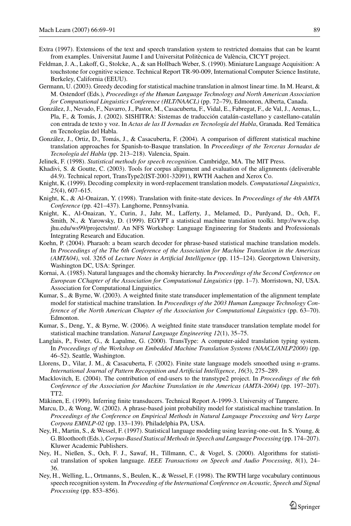- Extra (1997). Extensions of the text and speech translation system to restricted domains that can be learnt from examples. Universitat Jaume I and Universitat Politècnica de València, CICYT project.
- Feldman, J. A., Lakoff, G., Stolcke, A., & san Hollbach Weber, S. (1990). Miniature Language Acquisition: A touchstone for cognitive science. Technical Report TR-90-009, International Computer Science Institute, Berkeley, California (EEUU).
- Germann, U. (2003). Greedy decoding for statistical machine translation in almost linear time. In M. Hearst, & M. Ostendorf (Eds.), *Proceedings of the Human Language Technology and North American Association for Computational Linguistics Conference (HLT/NAACL)* (pp. 72–79), Edmonton, Alberta, Canada.
- Gonz´alez, J., Nevado, F., Navarro, J., Pastor, M., Casacuberta, F., Vidal, E., Fabregat, F., de Val, J., Arenas, L., Pla, F., & Tomás, J. (2002). SISHITRA: Sistemas de traducción catalán-castellano y castellano-catalán con entrada de texto y voz. In *Actas de las II Jornadas en Tecnología del Habla*, Granada. Red Temática en Tecnologías del Habla.
- González, J., Ortiz, D., Tomás, J., & Casacuberta, F. (2004). A comparison of different statistical machine translation approaches for Spanish-to-Basque translation. In *Proceedings of the Terceras Jornadas de Tecnolog´ıa del Habla* (pp. 213–218). Valencia, Spain.
- Jelinek, F. (1998). *Statistical methods for speech recognition*. Cambridge, MA. The MIT Press.
- Khadivi, S. & Goutte, C. (2003). Tools for corpus alignment and evaluation of the alignments (deliverable d4.9). Technical report, TransType2(IST-2001-32091), RWTH Aachen and Xerox Co.
- Knight, K. (1999). Decoding complexity in word-replacement translation models. *Computational Linguistics*, *25*(4), 607–615.
- Knight, K., & Al-Onaizan, Y. (1998). Translation with finite-state devices. In *Proceedings of the 4th AMTA Conference* (pp. 421–437). Langhorne, Pennsylvania.
- Knight, K., Al-Onaizan, Y., Curin, J., Jahr, M., Lafferty, J., Melamed, D., Purdyand, D., Och, F., Smith, N., & Yarowsky, D. (1999). EGYPT a statistical machine translation toolki. http://www.clsp. jhu.edu/ws99/projects/mt/. An NFS Workshop: Language Engineering for Students and Professionals Integrating Research and Education.
- Koehn, P. (2004). Pharaoh: a beam search decoder for phrase-based statistical machine translation models. In *Proceedings of the The 6th Conference of the Association for Machine Translation in the Americas (AMTA04)*, vol. 3265 of *Lecture Notes in Artificial Intelligence* (pp. 115–124). Georgetown University, Washington DC, USA: Springer.
- Kornai, A. (1985). Natural languages and the chomsky hierarchy. In *Proceedings of the Second Conference on European CChapter of the Association for Computational Linguistics* (pp. 1–7). Morristown, NJ, USA. Association for Computational Linguistics.
- Kumar, S., & Byrne, W. (2003). A weighted finite state transducer implementation of the alignment template model for statistical machine translation. In *Proceedings of the 2003 Human Language Technology Conference of the North American Chapter of the Association for Computational Linguistics* (pp. 63–70). Edmonton.
- Kumar, S., Deng, Y., & Byrne, W. (2006). A weighted finite state transducer translation template model for statistical machine translation. *Natural Language Engineering 12*(1), 35–75.
- Langlais, P., Foster, G., & Lapalme, G. (2000). TransType: A computer-aided translation typing system. In *Proceedings of the Workshop on Embedded Machine Translation Systems (NAACL/ANLP2000)* (pp. 46–52). Seattle, Washington.
- Llorens, D., Vilar, J. M., & Casacuberta, F. (2002). Finite state language models smoothed using *n*-grams. *International Journal of Pattern Recognition and Artificial Intelligence*, *16*(3), 275–289.
- Macklovitch, E. (2004). The contribution of end-users to the transtype2 project. In *Proceedings of the 6th Conference of the Association for Machine Translation in the Americas (AMTA-2004)* (pp. 197–207). TT<sub>2</sub>
- Mäkinen, E. (1999). Inferring finite transducers. Technical Report A-1999-3. University of Tampere.
- Marcu, D., & Wong, W. (2002). A phrase-based joint probability model for statistical machine translation. In *Proceedings of the Conference on Empirical Methods in Natural Language Processing and Very Large Corpora EMNLP-02* (pp. 133–139). Philadelphia PA, USA.
- Ney, H., Martin, S., & Wessel, F. (1997). Statistical language modeling using leaving-one-out. In S. Young, & G. Bloothooft (Eds.),*Corpus-Based Statiscal Methods in Speech and Language Processing* (pp. 174–207). Kluwer Academic Publishers.
- Ney, H., Nießen, S., Och, F. J., Sawaf, H., Tillmann, C., & Vogel, S. (2000). Algorithms for statistical translation of spoken language. *IEEE Transactions on Speech and Audio Processing*, *8*(1), 24– 36.
- Ney, H., Welling, L., Ortmanns, S., Beulen, K., & Wessel, F. (1998). The RWTH large vocabulary continuous speech recognition system. In *Proceeding of the International Conference on Acoustic, Speech and Signal Processing* (pp. 853–856).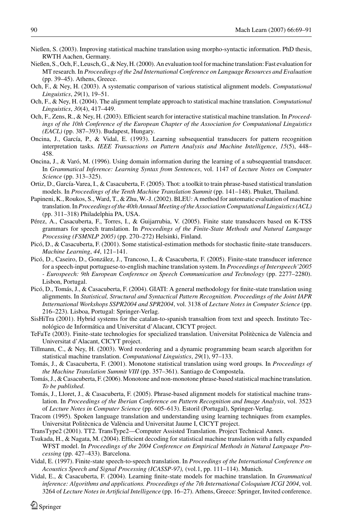- Nießen, S. (2003). Improving statistical machine translation using morpho-syntactic information. PhD thesis, RWTH Aachen, Germany.
- Nießen, S., Och, F., Leusch, G., & Ney, H. (2000). An evaluation tool for machine translation: Fast evaluation for MT research. In *Proceedings of the 2nd International Conference on Language Resources and Evaluation* (pp. 39–45). Athens, Greece.
- Och, F., & Ney, H. (2003). A systematic comparison of various statistical alignment models. *Computational Linguistics*, *29*(1), 19–51.
- Och, F., & Ney, H. (2004). The alignment template approach to statistical machine translation. *Computational Linguistics*, *30*(4), 417–449.
- Och, F., Zens, R., & Ney, H. (2003). Efficient search for interactive statistical machine translation. In *Proceedings of the 10th Conference of the European Chapter of the Association for Computational Linguistics (EACL)* (pp. 387–393). Budapest, Hungary.
- Oncina, J., García, P., & Vidal, E. (1993). Learning subsequential transducers for pattern recognition interpretation tasks. *IEEE Transactions on Pattern Analysis and Machine Intelligence*, *15*(5), 448– 458.
- Oncina, J., & Varó, M. (1996). Using domain information during the learning of a subsequential transducer. In *Grammatical Inference: Learning Syntax from Sentences*, vol. 1147 of *Lecture Notes on Computer Science* (pp. 313–325).
- Ortiz, D., García-Varea, I., & Casacuberta, F. (2005). Thot: a toolkit to train phrase-based statistical translation models. In *Proceedings of the Tenth Machine Translation Summit* (pp. 141–148). Phuket, Thailand.
- Papineni, K., Roukos, S., Ward, T., & Zhu, W.-J. (2002). BLEU: A method for automatic evaluation of machine translation. In*Proceedings of the 40th Annual Meeting of the Association Computational Linguistics (ACL)* (pp. 311–318) Philadelphia PA, USA.
- Pérez, A., Casacuberta, F., Torres, I., & Guijarrubia, V. (2005). Finite state transducers based on K-TSS grammars for speech translation. In *Proceedings of the Finite-State Methods and Natural Language Processing (FSMNLP 2005)* (pp. 270–272) Helsinki, Finland.
- Picó, D., & Casacuberta, F. (2001). Some statistical-estimation methods for stochastic finite-state transducers. *Machine Learning*, *44*, 121–141.
- Picó, D., Caseiro, D., González, J., Trancoso, I., & Casacuberta, F. (2005). Finite-state transducer inference for a speech-input portuguese-to-english machine translation system. In *Proceedings of Interspeech'2005 - Eurospeech: 9th European Conference on Speech Communication and Technology* (pp. 2277–2280). Lisbon, Portugal.
- Picó, D., Tomás, J., & Casacuberta, F. (2004). GIATI: A general methodology for finite-state translation using alignments. In *Statistical, Structural and Syntactical Pattern Recognition. Proceedings of the Joint IAPR Intternational Workshops SSPR2004 and SPR2004*, vol. 3138 of *Lecture Notes in Computer Science* (pp. 216–223). Lisboa, Portugal: Springer-Verlag.
- SisHiTra (2001). Hybrid systems for the catalan-to-spanish transaltion from text and speech. Instituto Tecnológico de Informática and Universitat d'Alacant, CICYT project.
- TeFaTe (2003). Finite-state technologies for specialized translation. Universitat Politècnica de València and Universitat d'Alacant, CICYT project.
- Tillmann, C., & Ney, H. (2003). Word reordering and a dynamic programming beam search algorithm for statistical machine translation. *Computational Linguistics*, *29*(1), 97–133.
- Tom´as, J., & Casacuberta, F. (2001). Monotone statistical translation using word groups. In *Proceedings of the Machine Translation Summit VIII* (pp. 357–361). Santiago de Compostela.
- Tomás, J., & Casacuberta, F. (2006). Monotone and non-monotone phrase-based statistical machine translation. *To be published*.
- Tomás, J., Lloret, J., & Casacuberta, F. (2005). Phrase-based alignment models for statistical machine translation. In *Proceedings of the Iberian Conference on Pattern Recognition and Image Analysis*, vol. 3523 of *Lecture Notes in Computer Science* (pp. 605–613). Estoril (Portugal), Springer-Verlag.
- Tracom (1995). Spoken language translation and understanding using learning techniques from examples. Universitat Politècnica de València and Universitat Jaume I, CICYT project.
- TransType2 (2001). TT2. TransType2—Computer Assisted Translation. Project Technical Annex.
- Tsukada, H., & Nagata, M. (2004). Efficient decoding for statistical machine translation with a fully expanded WFST model. In *Proceedings of the 2004 Conference on Empirical Methods in Natural Language Processing* (pp. 427–433). Barcelona.
- Vidal, E. (1997). Finite-state speech-to-speech translation. In *Proceedings of the International Conference on Acoustics Speech and Signal Processing (ICASSP-97),* (vol.1, pp. 111–114). Munich.
- Vidal, E., & Casacuberta, F. (2004). Learning finite-state models for machine translation. In *Grammatical inference: Algorithms and applications. Proceedings of the 7th International Coloquium ICGI 2004*, vol. 3264 of *Lecture Notes in Artificial Intelligence* (pp. 16–27). Athens, Greece: Springer, Invited conference.